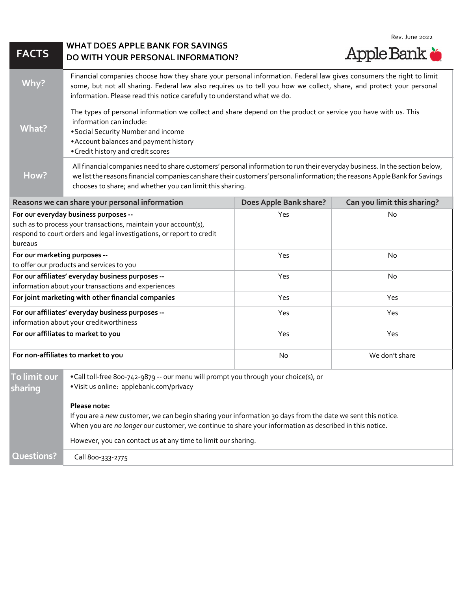| <b>FACTS</b>                                                                                                                                                                                 | <b>WHAT DOES APPLE BANK FOR SAVINGS</b><br>DO WITH YOUR PERSONAL INFORMATION?                                                                                                                                                                                                                                           |                        | Rev. June 2022<br><b>Apple Bank &amp;</b> |  |
|----------------------------------------------------------------------------------------------------------------------------------------------------------------------------------------------|-------------------------------------------------------------------------------------------------------------------------------------------------------------------------------------------------------------------------------------------------------------------------------------------------------------------------|------------------------|-------------------------------------------|--|
| Why?                                                                                                                                                                                         | Financial companies choose how they share your personal information. Federal law gives consumers the right to limit<br>some, but not all sharing. Federal law also requires us to tell you how we collect, share, and protect your personal<br>information. Please read this notice carefully to understand what we do. |                        |                                           |  |
| <b>What?</b>                                                                                                                                                                                 | The types of personal information we collect and share depend on the product or service you have with us. This<br>information can include:<br>• Social Security Number and income<br>• Account balances and payment history<br>• Credit history and credit scores                                                       |                        |                                           |  |
| How?                                                                                                                                                                                         | All financial companies need to share customers' personal information to run their everyday business. In the section below,<br>we list the reasons financial companies can share their customers' personal information; the reasons Apple Bank for Savings<br>chooses to share; and whether you can limit this sharing. |                        |                                           |  |
|                                                                                                                                                                                              | Reasons we can share your personal information                                                                                                                                                                                                                                                                          | Does Apple Bank share? | Can you limit this sharing?               |  |
| For our everyday business purposes --<br>such as to process your transactions, maintain your account(s),<br>respond to court orders and legal investigations, or report to credit<br>bureaus |                                                                                                                                                                                                                                                                                                                         | Yes                    | No                                        |  |
| For our marketing purposes --<br>to offer our products and services to you                                                                                                                   |                                                                                                                                                                                                                                                                                                                         | Yes                    | <b>No</b>                                 |  |
| For our affiliates' everyday business purposes --<br>information about your transactions and experiences                                                                                     |                                                                                                                                                                                                                                                                                                                         | Yes                    | <b>No</b>                                 |  |
| For joint marketing with other financial companies                                                                                                                                           |                                                                                                                                                                                                                                                                                                                         | Yes                    | Yes                                       |  |
| For our affiliates' everyday business purposes --<br>information about your creditworthiness                                                                                                 |                                                                                                                                                                                                                                                                                                                         | Yes                    | Yes                                       |  |
| For our affiliates to market to you                                                                                                                                                          |                                                                                                                                                                                                                                                                                                                         | Yes                    | Yes                                       |  |
| For non-affiliates to market to you                                                                                                                                                          |                                                                                                                                                                                                                                                                                                                         | No                     | We don't share                            |  |
| To limit our<br>sharing                                                                                                                                                                      | . Call toll-free 800-742-9879 -- our menu will prompt you through your choice(s), or<br>·Visit us online: applebank.com/privacy                                                                                                                                                                                         |                        |                                           |  |
|                                                                                                                                                                                              | Please note:<br>If you are a new customer, we can begin sharing your information 30 days from the date we sent this notice.<br>When you are no longer our customer, we continue to share your information as described in this notice.                                                                                  |                        |                                           |  |
|                                                                                                                                                                                              | However, you can contact us at any time to limit our sharing.                                                                                                                                                                                                                                                           |                        |                                           |  |
| Questions?                                                                                                                                                                                   | Call 800-333-2775                                                                                                                                                                                                                                                                                                       |                        |                                           |  |